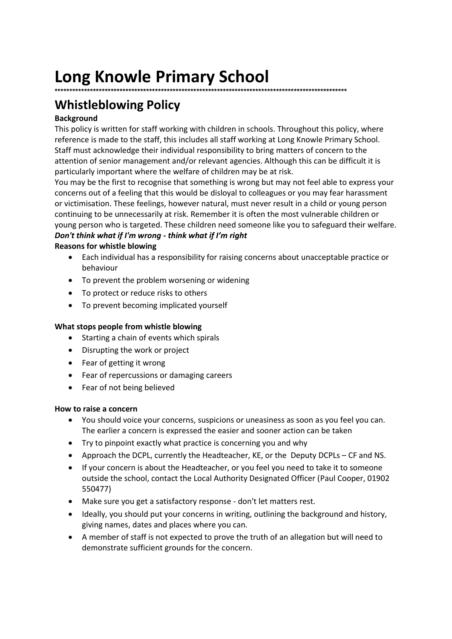# **Long Knowle Primary School**

### **\*\*\*\*\*\*\*\*\*\*\*\*\*\*\*\*\*\*\*\*\*\*\*\*\*\*\*\*\*\*\*\*\*\*\*\*\*\*\*\*\*\*\*\*\*\*\*\*\*\*\*\*\*\*\*\*\*\*\*\*\*\*\*\*\*\*\*\*\*\*\*\*\*\*\*\*\*\*\*\*\*\*\*\*\*\*\*\*\*\*\*\*\*\*\*\*\*\*\***

## **Whistleblowing Policy**

#### **Background**

This policy is written for staff working with children in schools. Throughout this policy, where reference is made to the staff, this includes all staff working at Long Knowle Primary School. Staff must acknowledge their individual responsibility to bring matters of concern to the attention of senior management and/or relevant agencies. Although this can be difficult it is particularly important where the welfare of children may be at risk.

You may be the first to recognise that something is wrong but may not feel able to express your concerns out of a feeling that this would be disloyal to colleagues or you may fear harassment or victimisation. These feelings, however natural, must never result in a child or young person continuing to be unnecessarily at risk. Remember it is often the most vulnerable children or young person who is targeted. These children need someone like you to safeguard their welfare. *Don't think what if I'm wrong - think what if I'm right* 

#### **Reasons for whistle blowing**

- Each individual has a responsibility for raising concerns about unacceptable practice or behaviour
- To prevent the problem worsening or widening
- To protect or reduce risks to others
- To prevent becoming implicated yourself

#### **What stops people from whistle blowing**

- Starting a chain of events which spirals
- Disrupting the work or project
- Fear of getting it wrong
- Fear of repercussions or damaging careers
- Fear of not being believed

#### **How to raise a concern**

- You should voice your concerns, suspicions or uneasiness as soon as you feel you can. The earlier a concern is expressed the easier and sooner action can be taken
- Try to pinpoint exactly what practice is concerning you and why
- Approach the DCPL, currently the Headteacher, KE, or the Deputy DCPLs CF and NS.
- If your concern is about the Headteacher, or you feel you need to take it to someone outside the school, contact the Local Authority Designated Officer (Paul Cooper, 01902 550477)
- Make sure you get a satisfactory response don't let matters rest.
- Ideally, you should put your concerns in writing, outlining the background and history, giving names, dates and places where you can.
- A member of staff is not expected to prove the truth of an allegation but will need to demonstrate sufficient grounds for the concern.